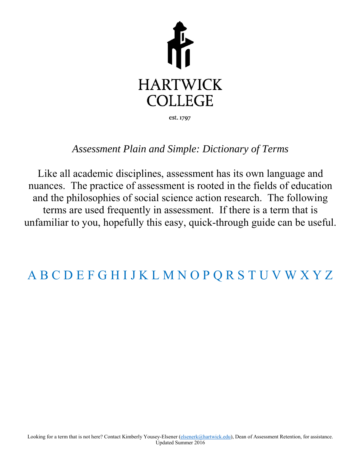

### *Assessment Plain and Simple: Dictionary of Terms*

Like all academic disciplines, assessment has its own language and nuances. The practice of assessment is rooted in the fields of education and the philosophies of social science action research. The following terms are used frequently in assessment. If there is a term that is unfamiliar to you, hopefully this easy, quick-through guide can be useful.

## [A](#page-1-0) [B](#page-3-0) [C](#page-5-0) [D E F](#page-6-0) [G](#page-7-0) [H I](#page-8-0) J [K L](#page-9-0) M N [O](#page-10-0) [P Q](#page-11-0) [R](#page-12-0) [S](#page-13-0) [T](#page-14-0) U [V](#page-15-0) W X Y Z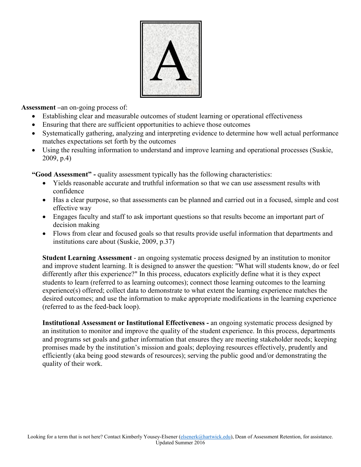

<span id="page-1-0"></span>**Assessment –**an on-going process of:

- Establishing clear and measurable outcomes of student learning or operational effectiveness
- Ensuring that there are sufficient opportunities to achieve those outcomes
- Systematically gathering, analyzing and interpreting evidence to determine how well actual performance matches expectations set forth by the outcomes
- Using the resulting information to understand and improve learning and operational processes (Suskie, 2009, p.4)

**"Good Assessment" -** quality assessment typically has the following characteristics:

- Yields reasonable accurate and truthful information so that we can use assessment results with confidence
- Has a clear purpose, so that assessments can be planned and carried out in a focused, simple and cost effective way
- Engages faculty and staff to ask important questions so that results become an important part of decision making
- Flows from clear and focused goals so that results provide useful information that departments and institutions care about (Suskie, 2009, p.37)

**Student Learning Assessment** - an ongoing systematic process designed by an institution to monitor and improve student learning. It is designed to answer the question: "What will students know, do or feel differently after this experience?" In this process, educators explicitly define what it is they expect students to learn (referred to as learning outcomes); connect those learning outcomes to the learning experience(s) offered; collect data to demonstrate to what extent the learning experience matches the desired outcomes; and use the information to make appropriate modifications in the learning experience (referred to as the feed-back loop).

**Institutional Assessment or Institutional Effectiveness -** an ongoing systematic process designed by an institution to monitor and improve the quality of the student experience. In this process, departments and programs set goals and gather information that ensures they are meeting stakeholder needs; keeping promises made by the institution's mission and goals; deploying resources effectively, prudently and efficiently (aka being good stewards of resources); serving the public good and/or demonstrating the quality of their work.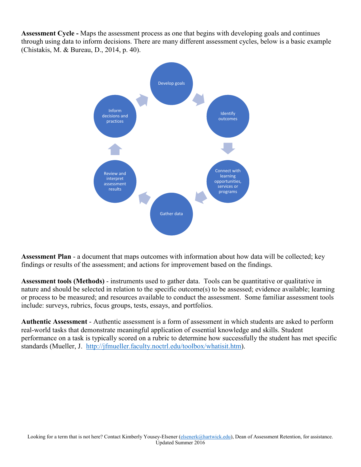**Assessment Cycle -** Maps the assessment process as one that begins with developing goals and continues through using data to inform decisions. There are many different assessment cycles, below is a basic example (Chistakis, M. & Bureau, D., 2014, p. 40).



**Assessment Plan** - a document that maps outcomes with information about how data will be collected; key findings or results of the assessment; and actions for improvement based on the findings.

**[Assessment tools](http://www2.hartwick.edu/academics/academic-support-services/office-of-academic-affairs/dean-of-assessment-and-retention/assessment-at-hartwick/assessment-tools) (Methods)** - instruments used to gather data. Tools can be quantitative or qualitative in nature and should be selected in relation to the specific outcome(s) to be assessed; evidence available; learning or process to be measured; and resources available to conduct the assessment. Some familiar assessment tools include: surveys, rubrics, focus groups, tests, essays, and portfolios.

**Authentic Assessment** - Authentic assessment is a form of assessment in which students are asked to perform real-world tasks that demonstrate meaningful application of essential knowledge and skills. Student performance on a task is typically scored on a rubric to determine how successfully the student has met specific standards (Mueller, J. [http://jfmueller.faculty.noctrl.edu/toolbox/whatisit.htm\)](http://jfmueller.faculty.noctrl.edu/toolbox/whatisit.htm).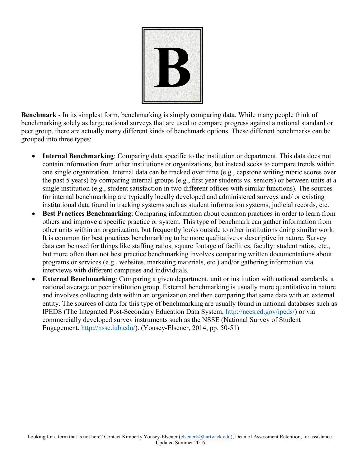

<span id="page-3-0"></span>**Benchmark** - In its simplest form, benchmarking is simply comparing data. While many people think of benchmarking solely as large national surveys that are used to compare progress against a national standard or peer group, there are actually many different kinds of benchmark options. These different benchmarks can be grouped into three types:

- **Internal Benchmarking**: Comparing data specific to the institution or department. This data does not contain information from other institutions or organizations, but instead seeks to compare trends within one single organization. Internal data can be tracked over time (e.g., capstone writing rubric scores over the past 5 years) by comparing internal groups (e.g., first year students vs. seniors) or between units at a single institution (e.g., student satisfaction in two different offices with similar functions). The sources for internal benchmarking are typically locally developed and administered surveys and/ or existing institutional data found in tracking systems such as student information systems, judicial records, etc.
- **Best Practices Benchmarking**: Comparing information about common practices in order to learn from others and improve a specific practice or system. This type of benchmark can gather information from other units within an organization, but frequently looks outside to other institutions doing similar work. It is common for best practices benchmarking to be more qualitative or descriptive in nature. Survey data can be used for things like staffing ratios, square footage of facilities, faculty: student ratios, etc., but more often than not best practice benchmarking involves comparing written documentations about programs or services (e.g., websites, marketing materials, etc.) and/or gathering information via interviews with different campuses and individuals.
- **External Benchmarking**: Comparing a given department, unit or institution with national standards, a national average or peer institution group. External benchmarking is usually more quantitative in nature and involves collecting data within an organization and then comparing that same data with an external entity. The sources of data for this type of benchmarking are usually found in national databases such as IPEDS (The Integrated Post-Secondary Education Data System, [http://nces.ed.gov/ipeds/\)](http://nces.ed.gov/ipeds/) or via commercially developed survey instruments such as the NSSE (National Survey of Student Engagement, [http://nsse.iub.edu/\)](http://nsse.iub.edu/). (Yousey-Elsener, 2014, pp. 50-51)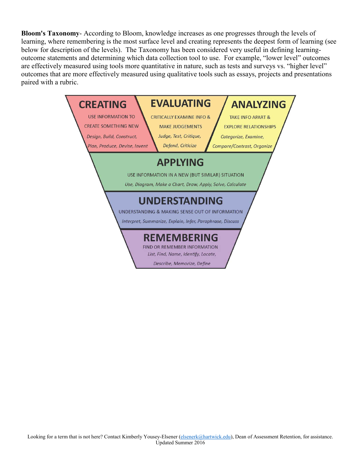<span id="page-4-0"></span>**Bloom's Taxonomy**- According to Bloom, knowledge increases as one progresses through the levels of learning, where remembering is the most surface level and creating represents the deepest form of learning (see below for description of the levels). The Taxonomy has been considered very useful in defining learningoutcome statements and determining which data collection tool to use. For example, "lower level" outcomes are effectively measured using tools more quantitative in nature, such as tests and surveys vs. "higher level" outcomes that are more effectively measured using qualitative tools such as essays, projects and presentations paired with a rubric.

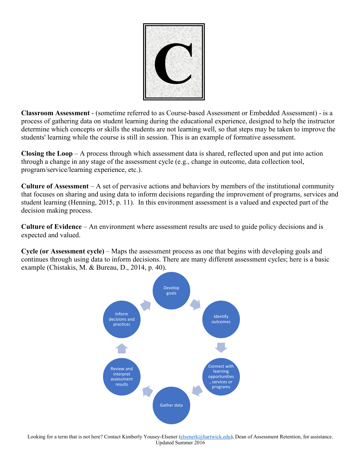

<span id="page-5-0"></span>**Classroom Assessment** - (sometime referred to as Course-based Assessment or Embedded Assessment) - is a process of gathering data on student learning during the educational experience, designed to help the instructor determine which concepts or skills the students are not learning well, so that steps may be taken to improve the students' learning while the course is still in session. This is an example of formative assessment.

**Closing the Loop** – A process through which assessment data is shared, reflected upon and put into action through a change in any stage of the assessment cycle (e.g., change in outcome, data collection tool, program/service/learning experience, etc.).

**Culture of Assessment** – A set of pervasive actions and behaviors by members of the institutional community that focuses on sharing and using data to inform decisions regarding the improvement of programs, services and student learning (Henning, 2015, p. 11). In this environment assessment is a valued and expected part of the decision making process.

**Culture of Evidence** – An environment where assessment results are used to guide policy decisions and is expected and valued.

**Cycle (or Assessment cycle)** – Maps the assessment process as one that begins with developing goals and continues through using data to inform decisions. There are many different assessment cycles; here is a basic example (Chistakis, M. & Bureau, D., 2014, p. 40).



Looking for a term that is not here? Contact Kimberly Yousey-Elsener [\(elsenerk@hartwick.edu\)](mailto:elsenerk@hartwick.edu), Dean of Assessment Retention, for assistance. Updated Summer 2016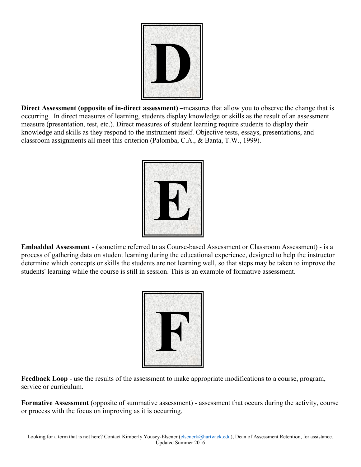

<span id="page-6-0"></span>**Direct Assessment (opposite of in-direct assessment)** – measures that allow you to observe the change that is occurring. In direct measures of learning, students display knowledge or skills as the result of an assessment measure (presentation, test, etc.). Direct measures of student learning require students to display their knowledge and skills as they respond to the instrument itself. Objective tests, essays, presentations, and classroom assignments all meet this criterion (Palomba, C.A., & Banta, T.W., 1999).



**Embedded Assessment** - (sometime referred to as Course-based Assessment or Classroom Assessment) - is a process of gathering data on student learning during the educational experience, designed to help the instructor determine which concepts or skills the students are not learning well, so that steps may be taken to improve the students' learning while the course is still in session. This is an example of formative assessment.



**Feedback Loop** - use the results of the assessment to make appropriate modifications to a course, program, service or curriculum.

**Formative Assessment** (opposite of summative assessment) - assessment that occurs during the activity, course or process with the focus on improving as it is occurring.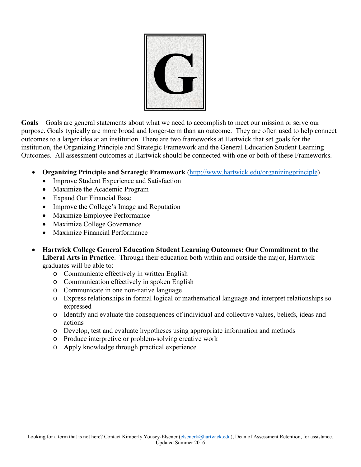

<span id="page-7-0"></span>**Goals** – Goals are general statements about what we need to accomplish to meet our mission or serve our purpose. Goals typically are more broad and longer-term than an outcome. They are often used to help connect outcomes to a larger idea at an institution. There are two frameworks at Hartwick that set goals for the institution, the Organizing Principle and Strategic Framework and the General Education Student Learning Outcomes. All assessment outcomes at Hartwick should be connected with one or both of these Frameworks.

- **Organizing Principle and Strategic Framework** [\(http://www.hartwick.edu/organizingprinciple\)](http://www.hartwick.edu/organizingprinciple)
	- Improve Student Experience and Satisfaction
	- Maximize the Academic Program
	- Expand Our Financial Base
	- Improve the College's Image and Reputation
	- Maximize Employee Performance
	- Maximize College Governance
	- Maximize Financial Performance
- **Hartwick College General Education Student Learning Outcomes: Our Commitment to the Liberal Arts in Practice**. Through their education both within and outside the major, Hartwick graduates will be able to:
	- o Communicate effectively in written English
	- o Communication effectively in spoken English
	- o Communicate in one non-native language
	- o Express relationships in formal logical or mathematical language and interpret relationships so expressed
	- o Identify and evaluate the consequences of individual and collective values, beliefs, ideas and actions
	- o Develop, test and evaluate hypotheses using appropriate information and methods
	- o Produce interpretive or problem-solving creative work
	- o Apply knowledge through practical experience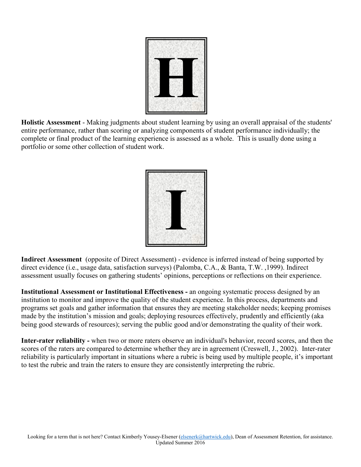

<span id="page-8-0"></span>**Holistic Assessment** - Making judgments about student learning by using an overall appraisal of the students' entire performance, rather than scoring or analyzing components of student performance individually; the complete or final product of the learning experience is assessed as a whole. This is usually done using a portfolio or some other collection of student work.

| $\overline{\phantom{a}}$ |  |  |  |
|--------------------------|--|--|--|
|                          |  |  |  |
|                          |  |  |  |
|                          |  |  |  |
|                          |  |  |  |
| Ŀ                        |  |  |  |

**Indirect Assessment** (opposite of Direct Assessment) - evidence is inferred instead of being supported by direct evidence (i.e., usage data, satisfaction surveys) (Palomba, C.A., & Banta, T.W. ,1999). Indirect assessment usually focuses on gathering students' opinions, perceptions or reflections on their experience.

**Institutional Assessment or Institutional Effectiveness -** an ongoing systematic process designed by an institution to monitor and improve the quality of the student experience. In this process, departments and programs set goals and gather information that ensures they are meeting stakeholder needs; keeping promises made by the institution's mission and goals; deploying resources effectively, prudently and efficiently (aka being good stewards of resources); serving the public good and/or demonstrating the quality of their work.

**Inter-rater reliability -** when two or more raters observe an individual's behavior, record scores, and then the scores of the raters are compared to determine whether they are in agreement (Creswell, J., 2002). Inter-rater reliability is particularly important in situations where a rubric is being used by multiple people, it's important to test the rubric and train the raters to ensure they are consistently interpreting the rubric.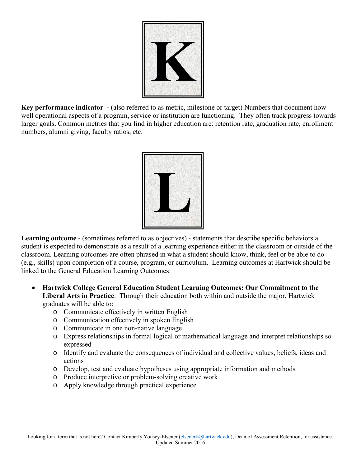

<span id="page-9-0"></span>**Key performance indicator** - (also referred to as metric, milestone or target) Numbers that document how well operational aspects of a program, service or institution are functioning. They often track progress towards larger goals. Common metrics that you find in higher education are: retention rate, graduation rate, enrollment numbers, alumni giving, faculty ratios, etc.



**Learning outcome** - (sometimes referred to as objectives) - statements that describe specific behaviors a student is expected to demonstrate as a result of a learning experience either in the classroom or outside of the classroom. Learning outcomes are often phrased in what a student should know, think, feel or be able to do (e.g., skills) upon completion of a course, program, or curriculum. Learning outcomes at Hartwick should be linked to the General Education Learning Outcomes:

- **Hartwick College General Education Student Learning Outcomes: Our Commitment to the Liberal Arts in Practice**. Through their education both within and outside the major, Hartwick graduates will be able to:
	- o Communicate effectively in written English
	- o Communication effectively in spoken English
	- o Communicate in one non-native language
	- o Express relationships in formal logical or mathematical language and interpret relationships so expressed
	- o Identify and evaluate the consequences of individual and collective values, beliefs, ideas and actions
	- o Develop, test and evaluate hypotheses using appropriate information and methods
	- o Produce interpretive or problem-solving creative work
	- o Apply knowledge through practical experience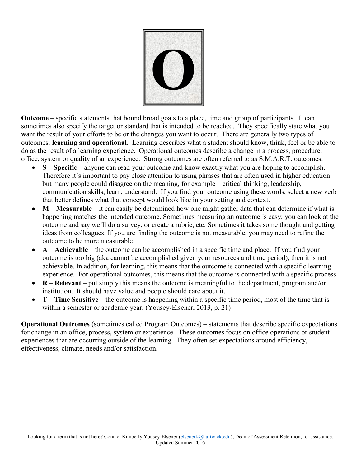

<span id="page-10-0"></span>**Outcome** – specific statements that bound broad goals to a place, time and group of participants. It can sometimes also specify the target or standard that is intended to be reached. They specifically state what you want the result of your efforts to be or the changes you want to occur. There are generally two types of outcomes: **learning and operational**. Learning describes what a student should know, think, feel or be able to do as the result of a learning experience. Operational outcomes describe a change in a process, procedure, office, system or quality of an experience. Strong outcomes are often referred to as S.M.A.R.T. outcomes:

- **S Specific** anyone can read your outcome and know exactly what you are hoping to accomplish. Therefore it's important to pay close attention to using phrases that are often used in higher education but many people could disagree on the meaning, for example – critical thinking, leadership, communication skills, learn, understand. If you find your outcome using these words, select a new verb that better defines what that concept would look like in your setting and context.
- **M Measurable** it can easily be determined how one might gather data that can determine if what is happening matches the intended outcome. Sometimes measuring an outcome is easy; you can look at the outcome and say we'll do a survey, or create a rubric, etc. Sometimes it takes some thought and getting ideas from colleagues. If you are finding the outcome is not measurable, you may need to refine the outcome to be more measurable.
- **A Achievable** the outcome can be accomplished in a specific time and place. If you find your outcome is too big (aka cannot be accomplished given your resources and time period), then it is not achievable. In addition, for learning, this means that the outcome is connected with a specific learning experience. For operational outcomes, this means that the outcome is connected with a specific process.
- **R Relevant** put simply this means the outcome is meaningful to the department, program and/or institution. It should have value and people should care about it.
- **T Time Sensitive** the outcome is happening within a specific time period, most of the time that is within a semester or academic year. (Yousey-Elsener, 2013, p. 21)

**Operational Outcomes** (sometimes called Program Outcomes) – statements that describe specific expectations for change in an office, process, system or experience. These outcomes focus on office operations or student experiences that are occurring outside of the learning. They often set expectations around efficiency, effectiveness, climate, needs and/or satisfaction.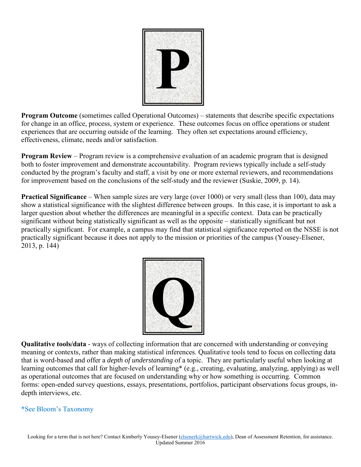

<span id="page-11-0"></span>**Program Outcome** (sometimes called Operational Outcomes) – statements that describe specific expectations for change in an office, process, system or experience. These outcomes focus on office operations or student experiences that are occurring outside of the learning. They often set expectations around efficiency, effectiveness, climate, needs and/or satisfaction.

**Program Review** – Program review is a comprehensive evaluation of an academic program that is designed both to foster improvement and demonstrate accountability. Program reviews typically include a self-study conducted by the program's faculty and staff, a visit by one or more external reviewers, and recommendations for improvement based on the conclusions of the self-study and the reviewer (Suskie, 2009, p. 14).

**Practical Significance** – When sample sizes are very large (over 1000) or very small (less than 100), data may show a statistical significance with the slightest difference between groups. In this case, it is important to ask a larger question about whether the differences are meaningful in a specific context. Data can be practically significant without being statistically significant as well as the opposite – statistically significant but not practically significant. For example, a campus may find that statistical significance reported on the NSSE is not practically significant because it does not apply to the mission or priorities of the campus (Yousey-Elsener, 2013, p. 144)



**Qualitative tools/data** - ways of collecting information that are concerned with understanding or conveying meaning or contexts, rather than making statistical inferences. Qualitative tools tend to focus on collecting data that is word-based and offer a *depth of understanding* of a topic. They are particularly useful when looking at learning outcomes that call for higher-levels of learning\* (e.g., creating, evaluating, analyzing, applying) as well as operational outcomes that are focused on understanding why or how something is occurring. Common forms: open-ended survey questions, essays, presentations, portfolios, participant observations focus groups, indepth interviews, etc.

#### [\\*See Bloom's Taxonomy](#page-4-0)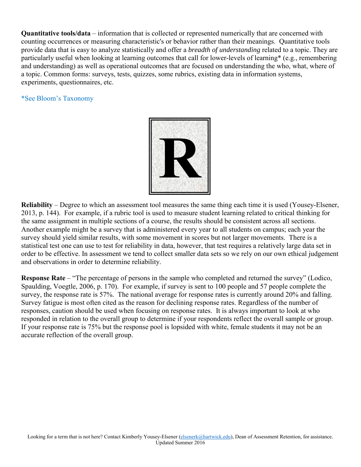<span id="page-12-0"></span>**Quantitative tools/data** – information that is collected or represented numerically that are concerned with counting occurrences or measuring characteristic's or behavior rather than their meanings. Quantitative tools provide data that is easy to analyze statistically and offer a *breadth of understanding* related to a topic. They are particularly useful when looking at learning outcomes that call for lower-levels of learning\* (e.g., remembering and understanding) as well as operational outcomes that are focused on understanding the who, what, where of a topic. Common forms: surveys, tests, quizzes, some rubrics, existing data in information systems, experiments, questionnaires, etc.

#### [\\*See Bloom's Taxonomy](#page-4-0)



**Reliability** – Degree to which an assessment tool measures the same thing each time it is used (Yousey-Elsener, 2013, p. 144). For example, if a rubric tool is used to measure student learning related to critical thinking for the same assignment in multiple sections of a course, the results should be consistent across all sections. Another example might be a survey that is administered every year to all students on campus; each year the survey should yield similar results, with some movement in scores but not larger movements. There is a statistical test one can use to test for reliability in data, however, that test requires a relatively large data set in order to be effective. In assessment we tend to collect smaller data sets so we rely on our own ethical judgement and observations in order to determine reliability.

**Response Rate** – "The percentage of persons in the sample who completed and returned the survey" (Lodico, Spaulding, Voegtle, 2006, p. 170). For example, if survey is sent to 100 people and 57 people complete the survey, the response rate is 57%. The national average for response rates is currently around 20% and falling. Survey fatigue is most often cited as the reason for declining response rates. Regardless of the number of responses, caution should be used when focusing on response rates. It is always important to look at who responded in relation to the overall group to determine if your respondents reflect the overall sample or group. If your response rate is 75% but the response pool is lopsided with white, female students it may not be an accurate reflection of the overall group.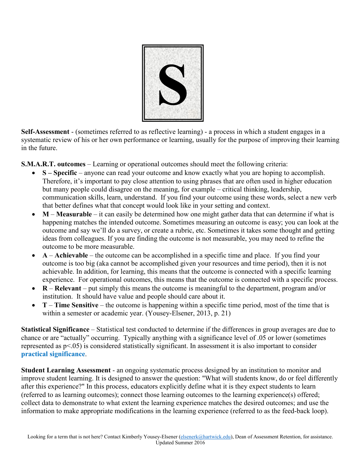

<span id="page-13-0"></span>**Self-Assessment** - (sometimes referred to as reflective learning) - a process in which a student engages in a systematic review of his or her own performance or learning, usually for the purpose of improving their learning in the future.

**S.M.A.R.T. outcomes** – Learning or operational outcomes should meet the following criteria:

- **S Specific** anyone can read your outcome and know exactly what you are hoping to accomplish. Therefore, it's important to pay close attention to using phrases that are often used in higher education but many people could disagree on the meaning, for example – critical thinking, leadership, communication skills, learn, understand. If you find your outcome using these words, select a new verb that better defines what that concept would look like in your setting and context.
- **M Measurable** it can easily be determined how one might gather data that can determine if what is happening matches the intended outcome. Sometimes measuring an outcome is easy; you can look at the outcome and say we'll do a survey, or create a rubric, etc. Sometimes it takes some thought and getting ideas from colleagues. If you are finding the outcome is not measurable, you may need to refine the outcome to be more measurable.
- **A Achievable** the outcome can be accomplished in a specific time and place. If you find your outcome is too big (aka cannot be accomplished given your resources and time period), then it is not achievable. In addition, for learning, this means that the outcome is connected with a specific learning experience. For operational outcomes, this means that the outcome is connected with a specific process.
- **R Relevant** put simply this means the outcome is meaningful to the department, program and/or institution. It should have value and people should care about it.
- **T Time Sensitive** the outcome is happening within a specific time period, most of the time that is within a semester or academic year. (Yousey-Elsener, 2013, p. 21)

**Statistical Significance** – Statistical test conducted to determine if the differences in group averages are due to chance or are "actually" occurring. Typically anything with a significance level of .05 or lower (sometimes represented as p<.05) is considered statistically significant. In assessment it is also important to consider **[practical significance](#page-11-0)**.

**Student Learning Assessment** - an ongoing systematic process designed by an institution to monitor and improve student learning. It is designed to answer the question: "What will students know, do or feel differently after this experience?" In this process, educators explicitly define what it is they expect students to learn (referred to as learning outcomes); connect those learning outcomes to the learning experience(s) offered; collect data to demonstrate to what extent the learning experience matches the desired outcomes; and use the information to make appropriate modifications in the learning experience (referred to as the feed-back loop).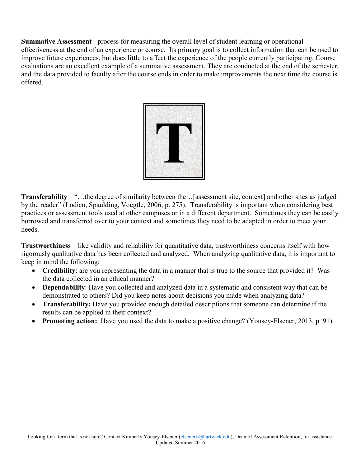<span id="page-14-0"></span>**Summative Assessment** - process for measuring the overall level of student learning or operational effectiveness at the end of an experience or course. Its primary goal is to collect information that can be used to improve future experiences, but does little to affect the experience of the people currently participating. Course evaluations are an excellent example of a summative assessment. They are conducted at the end of the semester, and the data provided to faculty after the course ends in order to make improvements the next time the course is offered.



**Transferability** – "…the degree of similarity between the…[assessment site, context] and other sites as judged by the reader" (Lodico, Spaulding, Voegtle, 2006, p. 275). Transferability is important when considering best practices or assessment tools used at other campuses or in a different department. Sometimes they can be easily borrowed and transferred over to your context and sometimes they need to be adapted in order to meet your needs.

**Trustworthiness** – like validity and reliability for quantitative data, trustworthiness concerns itself with how rigorously qualitative data has been collected and analyzed. When analyzing qualitative data, it is important to keep in mind the following:

- **Credibility**: are you representing the data in a manner that is true to the source that provided it? Was the data collected in an ethical manner?
- **Dependability**: Have you collected and analyzed data in a systematic and consistent way that can be demonstrated to others? Did you keep notes about decisions you made when analyzing data?
- **Transferability:** Have you provided enough detailed descriptions that someone can determine if the results can be applied in their context?
- **Promoting action:** Have you used the data to make a positive change? (Yousey-Elsener, 2013, p. 91)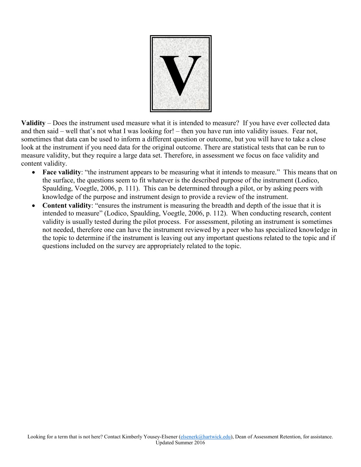

<span id="page-15-0"></span>**Validity** – Does the instrument used measure what it is intended to measure? If you have ever collected data and then said – well that's not what I was looking for! – then you have run into validity issues. Fear not, sometimes that data can be used to inform a different question or outcome, but you will have to take a close look at the instrument if you need data for the original outcome. There are statistical tests that can be run to measure validity, but they require a large data set. Therefore, in assessment we focus on face validity and content validity.

- **Face validity**: "the instrument appears to be measuring what it intends to measure." This means that on the surface, the questions seem to fit whatever is the described purpose of the instrument (Lodico, Spaulding, Voegtle, 2006, p. 111). This can be determined through a pilot, or by asking peers with knowledge of the purpose and instrument design to provide a review of the instrument.
- **Content validity**: "ensures the instrument is measuring the breadth and depth of the issue that it is intended to measure" (Lodico, Spaulding, Voegtle, 2006, p. 112). When conducting research, content validity is usually tested during the pilot process. For assessment, piloting an instrument is sometimes not needed, therefore one can have the instrument reviewed by a peer who has specialized knowledge in the topic to determine if the instrument is leaving out any important questions related to the topic and if questions included on the survey are appropriately related to the topic.